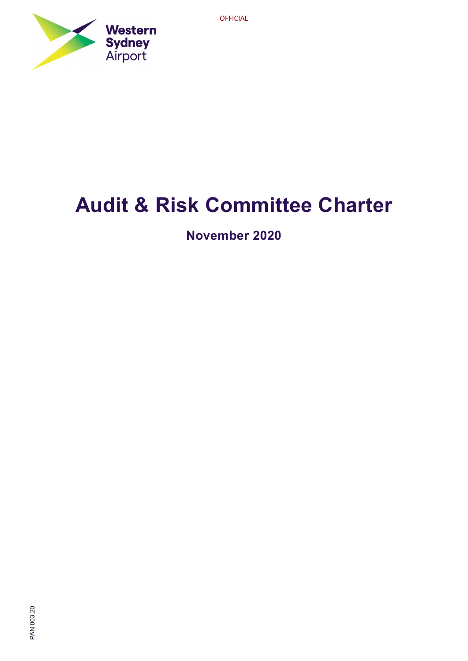



# Audit & Risk Committee Charter

November 2020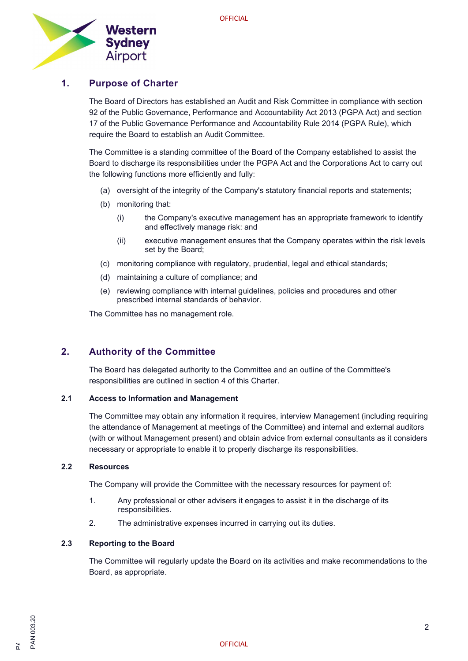

# 1. Purpose of Charter

The Board of Directors has established an Audit and Risk Committee in compliance with section 92 of the Public Governance, Performance and Accountability Act 2013 (PGPA Act) and section 17 of the Public Governance Performance and Accountability Rule 2014 (PGPA Rule), which require the Board to establish an Audit Committee.

The Committee is a standing committee of the Board of the Company established to assist the Board to discharge its responsibilities under the PGPA Act and the Corporations Act to carry out the following functions more efficiently and fully:

- (a) oversight of the integrity of the Company's statutory financial reports and statements;
- (b) monitoring that:
	- (i) the Company's executive management has an appropriate framework to identify and effectively manage risk: and
	- (ii) executive management ensures that the Company operates within the risk levels set by the Board;
- (c) monitoring compliance with regulatory, prudential, legal and ethical standards;
- (d) maintaining a culture of compliance; and
- (e) reviewing compliance with internal guidelines, policies and procedures and other prescribed internal standards of behavior.

The Committee has no management role.

# 2. Authority of the Committee

The Board has delegated authority to the Committee and an outline of the Committee's responsibilities are outlined in section 4 of this Charter.

#### 2.1 Access to Information and Management

The Committee may obtain any information it requires, interview Management (including requiring the attendance of Management at meetings of the Committee) and internal and external auditors (with or without Management present) and obtain advice from external consultants as it considers necessary or appropriate to enable it to properly discharge its responsibilities.

#### 2.2 Resources

The Company will provide the Committee with the necessary resources for payment of:

- 1. Any professional or other advisers it engages to assist it in the discharge of its responsibilities.
- 2. The administrative expenses incurred in carrying out its duties.

#### 2.3 Reporting to the Board

The Committee will regularly update the Board on its activities and make recommendations to the Board, as appropriate.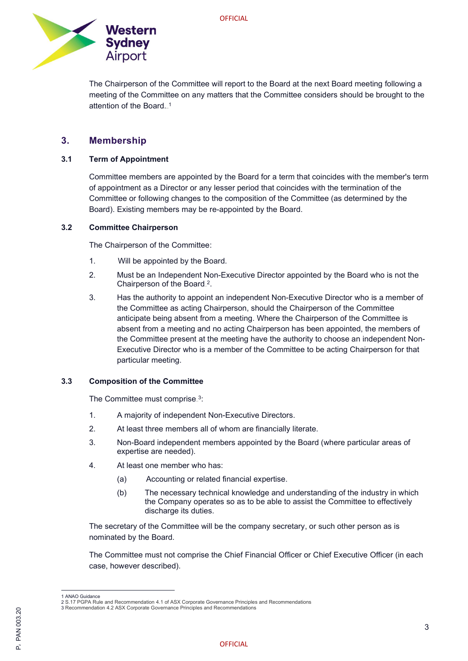

The Chairperson of the Committee will report to the Board at the next Board meeting following a meeting of the Committee on any matters that the Committee considers should be brought to the attention of the Board...<sup>1</sup>

## 3. Membership

#### 3.1 Term of Appointment

Committee members are appointed by the Board for a term that coincides with the member's term of appointment as a Director or any lesser period that coincides with the termination of the Committee or following changes to the composition of the Committee (as determined by the Board). Existing members may be re-appointed by the Board.

#### 3.2 Committee Chairperson

The Chairperson of the Committee:

- 1. Will be appointed by the Board.
- 2. Must be an Independent Non-Executive Director appointed by the Board who is not the Chairperson of the Board.<sup>2</sup>.
- 3. Has the authority to appoint an independent Non-Executive Director who is a member of the Committee as acting Chairperson, should the Chairperson of the Committee anticipate being absent from a meeting. Where the Chairperson of the Committee is absent from a meeting and no acting Chairperson has been appointed, the members of the Committee present at the meeting have the authority to choose an independent Non-Executive Director who is a member of the Committee to be acting Chairperson for that particular meeting.

#### 3.3 Composition of the Committee

The Committee must comprise.<sup>3</sup>:

- 1. A majority of independent Non-Executive Directors.
- 2. At least three members all of whom are financially literate.
- 3. Non-Board independent members appointed by the Board (where particular areas of expertise are needed).
- 4. At least one member who has:
	- (a) Accounting or related financial expertise.
	- (b) The necessary technical knowledge and understanding of the industry in which the Company operates so as to be able to assist the Committee to effectively discharge its duties.

The secretary of the Committee will be the company secretary, or such other person as is nominated by the Board.

The Committee must not comprise the Chief Financial Officer or Chief Executive Officer (in each case, however described).

<sup>1</sup> ANAO Guidance

<sup>2</sup> S.17 PGPA Rule and Recommendation 4.1 of ASX Corporate Governance Principles and Recommendations

<sup>3</sup> Recommendation 4.2 ASX Corporate Governance Principles and Recommendations<br>
23 Necommendation<br>
2<br>
2<br>
0 OFFICIAL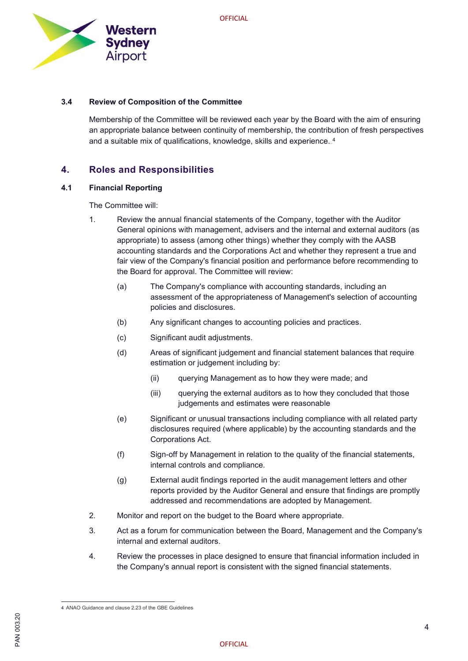

#### 3.4 Review of Composition of the Committee

Membership of the Committee will be reviewed each year by the Board with the aim of ensuring an appropriate balance between continuity of membership, the contribution of fresh perspectives and a suitable mix of qualifications, knowledge, skills and experience.. $^4$ 

### 4. Roles and Responsibilities

#### 4.1 Financial Reporting

The Committee will:

- 1. Review the annual financial statements of the Company, together with the Auditor General opinions with management, advisers and the internal and external auditors (as appropriate) to assess (among other things) whether they comply with the AASB accounting standards and the Corporations Act and whether they represent a true and fair view of the Company's financial position and performance before recommending to the Board for approval. The Committee will review:
	- (a) The Company's compliance with accounting standards, including an assessment of the appropriateness of Management's selection of accounting policies and disclosures.
	- (b) Any significant changes to accounting policies and practices.
	- (c) Significant audit adjustments.
	- (d) Areas of significant judgement and financial statement balances that require estimation or judgement including by:
		- (ii) querying Management as to how they were made; and
		- (iii) querying the external auditors as to how they concluded that those judgements and estimates were reasonable
	- (e) Significant or unusual transactions including compliance with all related party disclosures required (where applicable) by the accounting standards and the Corporations Act.
	- (f) Sign-off by Management in relation to the quality of the financial statements, internal controls and compliance.
	- (g) External audit findings reported in the audit management letters and other reports provided by the Auditor General and ensure that findings are promptly addressed and recommendations are adopted by Management.
- 2. Monitor and report on the budget to the Board where appropriate.
- 3. Act as a forum for communication between the Board, Management and the Company's internal and external auditors.
- 4. Review the processes in place designed to ensure that financial information included in the Company's annual report is consistent with the signed financial statements.

<sup>4</sup> ANAO Guidance and clause 2.23 of the GBE Guidelines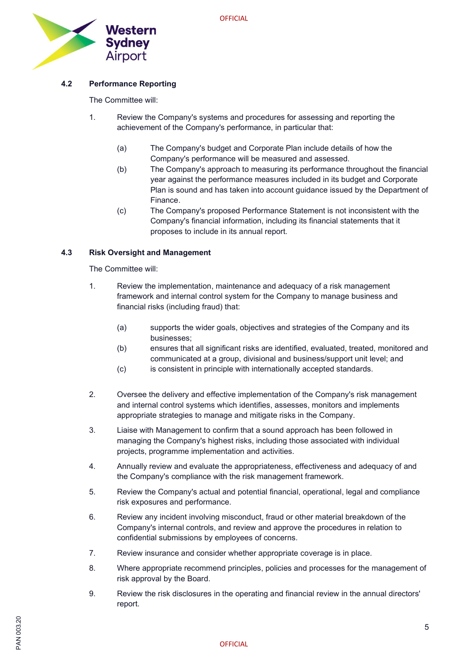

#### 4.2 Performance Reporting

The Committee will:

- 1. Review the Company's systems and procedures for assessing and reporting the achievement of the Company's performance, in particular that:
	- (a) The Company's budget and Corporate Plan include details of how the Company's performance will be measured and assessed.
	- (b) The Company's approach to measuring its performance throughout the financial year against the performance measures included in its budget and Corporate Plan is sound and has taken into account guidance issued by the Department of Finance.
	- (c) The Company's proposed Performance Statement is not inconsistent with the Company's financial information, including its financial statements that it proposes to include in its annual report.

#### 4.3 Risk Oversight and Management

The Committee will:

- 1. Review the implementation, maintenance and adequacy of a risk management framework and internal control system for the Company to manage business and financial risks (including fraud) that:
	- (a) supports the wider goals, objectives and strategies of the Company and its businesses;
	- (b) ensures that all significant risks are identified, evaluated, treated, monitored and communicated at a group, divisional and business/support unit level; and
	- (c) is consistent in principle with internationally accepted standards.
- 2. Oversee the delivery and effective implementation of the Company's risk management and internal control systems which identifies, assesses, monitors and implements appropriate strategies to manage and mitigate risks in the Company.
- 3. Liaise with Management to confirm that a sound approach has been followed in managing the Company's highest risks, including those associated with individual projects, programme implementation and activities.
- 4. Annually review and evaluate the appropriateness, effectiveness and adequacy of and the Company's compliance with the risk management framework.
- 5. Review the Company's actual and potential financial, operational, legal and compliance risk exposures and performance.
- 6. Review any incident involving misconduct, fraud or other material breakdown of the Company's internal controls, and review and approve the procedures in relation to confidential submissions by employees of concerns.
- 7. Review insurance and consider whether appropriate coverage is in place.
- 8. Where appropriate recommend principles, policies and processes for the management of risk approval by the Board.
- 9. Review the risk disclosures in the operating and financial review in the annual directors' report.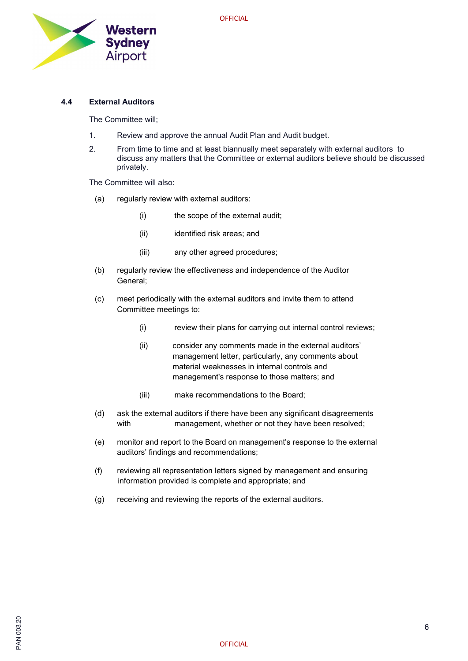

#### 4.4 External Auditors

The Committee will;

- 1. Review and approve the annual Audit Plan and Audit budget.
- 2. From time to time and at least biannually meet separately with external auditors to discuss any matters that the Committee or external auditors believe should be discussed privately.

The Committee will also:

- (a) regularly review with external auditors:
	- (i) the scope of the external audit;
	- (ii) identified risk areas; and
	- (iii) any other agreed procedures;
- (b) regularly review the effectiveness and independence of the Auditor General;
- (c) meet periodically with the external auditors and invite them to attend Committee meetings to:
	- (i) review their plans for carrying out internal control reviews;
	- (ii) consider any comments made in the external auditors' management letter, particularly, any comments about material weaknesses in internal controls and management's response to those matters; and
	- (iii) make recommendations to the Board;
- (d) ask the external auditors if there have been any significant disagreements with management, whether or not they have been resolved;
- (e) monitor and report to the Board on management's response to the external auditors' findings and recommendations;
- (f) reviewing all representation letters signed by management and ensuring information provided is complete and appropriate; and
- (g) receiving and reviewing the reports of the external auditors.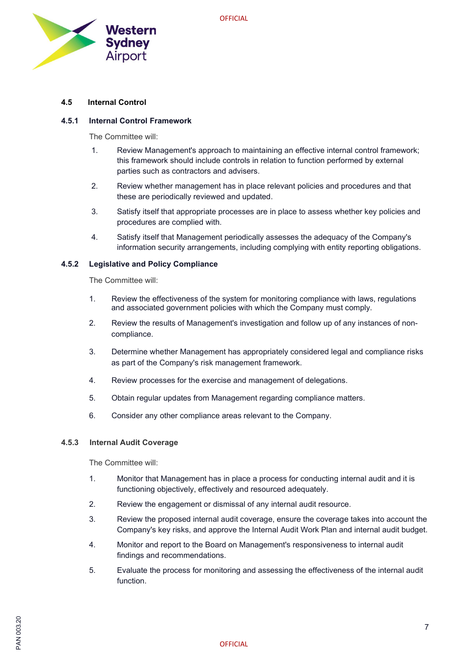

#### 4.5 Internal Control

#### 4.5.1 Internal Control Framework

The Committee will:

- 1. Review Management's approach to maintaining an effective internal control framework; this framework should include controls in relation to function performed by external parties such as contractors and advisers.
- 2. Review whether management has in place relevant policies and procedures and that these are periodically reviewed and updated.
- 3. Satisfy itself that appropriate processes are in place to assess whether key policies and procedures are complied with.
- 4. Satisfy itself that Management periodically assesses the adequacy of the Company's information security arrangements, including complying with entity reporting obligations.

#### 4.5.2 Legislative and Policy Compliance

The Committee will:

- 1. Review the effectiveness of the system for monitoring compliance with laws, regulations and associated government policies with which the Company must comply.
- 2. Review the results of Management's investigation and follow up of any instances of noncompliance.
- 3. Determine whether Management has appropriately considered legal and compliance risks as part of the Company's risk management framework.
- 4. Review processes for the exercise and management of delegations.
- 5. Obtain regular updates from Management regarding compliance matters.
- 6. Consider any other compliance areas relevant to the Company.

#### 4.5.3 Internal Audit Coverage

The Committee will:

- 1. Monitor that Management has in place a process for conducting internal audit and it is functioning objectively, effectively and resourced adequately.
- 2. Review the engagement or dismissal of any internal audit resource.
- 3. Review the proposed internal audit coverage, ensure the coverage takes into account the Company's key risks, and approve the Internal Audit Work Plan and internal audit budget.
- 4. Monitor and report to the Board on Management's responsiveness to internal audit findings and recommendations.
- 5. Evaluate the process for monitoring and assessing the effectiveness of the internal audit function.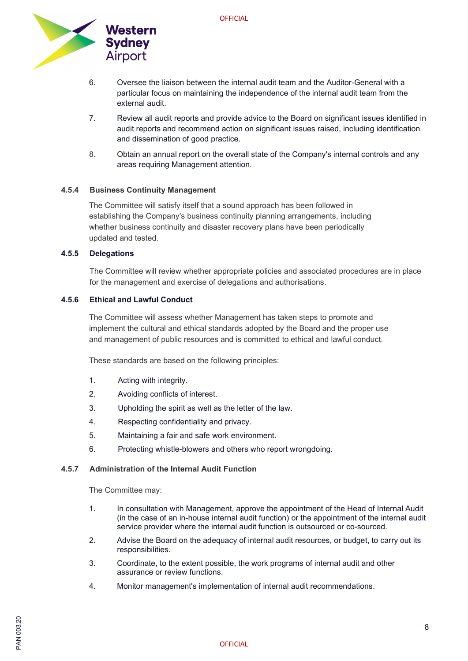

- 6. Oversee the liaison between the internal audit team and the Auditor-General with a particular focus on maintaining the independence of the internal audit team from the external audit.
- 7. Review all audit reports and provide advice to the Board on significant issues identified in audit reports and recommend action on significant issues raised, including identification and dissemination of good practice.
- 8. Obtain an annual report on the overall state of the Company's internal controls and any areas requiring Management attention.

#### 4.5.4 Business Continuity Management

The Committee will satisfy itself that a sound approach has been followed in establishing the Company's business continuity planning arrangements, including whether business continuity and disaster recovery plans have been periodically updated and tested.

#### 4.5.5 Delegations

The Committee will review whether appropriate policies and associated procedures are in place for the management and exercise of delegations and authorisations.

#### 4.5.6 Ethical and Lawful Conduct

The Committee will assess whether Management has taken steps to promote and implement the cultural and ethical standards adopted by the Board and the proper use and management of public resources and is committed to ethical and lawful conduct.

These standards are based on the following principles:

- 1. Acting with integrity.
- 2. Avoiding conflicts of interest.
- 3. Upholding the spirit as well as the letter of the law.
- 4. Respecting confidentiality and privacy.
- 5. Maintaining a fair and safe work environment.
- 6. Protecting whistle-blowers and others who report wrongdoing.

#### 4.5.7 Administration of the Internal Audit Function

The Committee may:

- 1. In consultation with Management, approve the appointment of the Head of Internal Audit (in the case of an in-house internal audit function) or the appointment of the internal audit service provider where the internal audit function is outsourced or co-sourced.
- 2. Advise the Board on the adequacy of internal audit resources, or budget, to carry out its responsibilities.
- 3. Coordinate, to the extent possible, the work programs of internal audit and other assurance or review functions.
- 4. Monitor management's implementation of internal audit recommendations.

# 이 있습니다.<br>이 2020년<br>이 2020년 - 대한민국의 대한민국의 대한민국의 대한민국의 대한민국의 대한민국의 대한민국의 대한민국의 대한민국의 대한민국의 대한민국의 대한민국의 대한민국의 대한민국의 대한민국의 대한민국의 대한민<br>이 2021년 - 대한민국의 대한민국의 대한민국의 대한민국의 대한민국의 대한민국의 대한민국의 대한민국의 대한민국의 대한민국의 대한민국의 대한민국의 대한민국의 대한민국의 대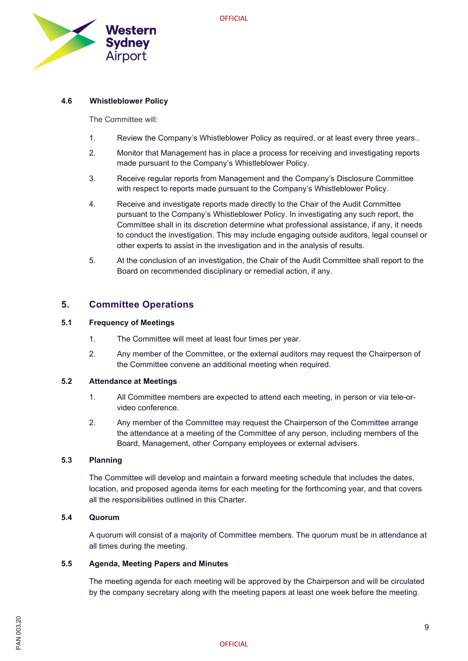

#### 4.6 Whistleblower Policy

The Committee will:

- 1. Review the Company's Whistleblower Policy as required, or at least every three years..
- 2. Monitor that Management has in place a process for receiving and investigating reports made pursuant to the Company's Whistleblower Policy.
- 3. Receive regular reports from Management and the Company's Disclosure Committee with respect to reports made pursuant to the Company's Whistleblower Policy.
- 4. Receive and investigate reports made directly to the Chair of the Audit Committee pursuant to the Company's Whistleblower Policy. In investigating any such report, the Committee shall in its discretion determine what professional assistance, if any, it needs to conduct the investigation. This may include engaging outside auditors, legal counsel or other experts to assist in the investigation and in the analysis of results.
- 5. At the conclusion of an investigation, the Chair of the Audit Committee shall report to the Board on recommended disciplinary or remedial action, if any.

#### 5. Committee Operations

#### 5.1 Frequency of Meetings

- 1. The Committee will meet at least four times per year.
- 2. Any member of the Committee, or the external auditors may request the Chairperson of the Committee convene an additional meeting when required.

#### 5.2 Attendance at Meetings

- 1. All Committee members are expected to attend each meeting, in person or via tele-orvideo conference.
- 2. Any member of the Committee may request the Chairperson of the Committee arrange the attendance at a meeting of the Committee of any person, including members of the Board, Management, other Company employees or external advisers.

#### 5.3 Planning

The Committee will develop and maintain a forward meeting schedule that includes the dates, location, and proposed agenda items for each meeting for the forthcoming year, and that covers all the responsibilities outlined in this Charter.

#### 5.4 Quorum

A quorum will consist of a majority of Committee members. The quorum must be in attendance at all times during the meeting.

#### 5.5 Agenda, Meeting Papers and Minutes

The meeting agenda for each meeting will be approved by the Chairperson and will be circulated by the company secretary along with the meeting papers at least one week before the meeting.

# 이 있습니다.<br>이 2020년<br>이 2020년 - 대한민국의 대한민국의 대한민국의 대한민국의 대한민국의 대한민국의 대한민국의 대한민국의 대한민국의 대한민국의 대한민국의 대한민국의 대한민국의 대한민국의 대한민국의 대한민국의 대한민<br>이 2021년 - 대한민국의 대한민국의 대한민국의 대한민국의 대한민국의 대한민국의 대한민국의 대한민국의 대한민국의 대한민국의 대한민국의 대한민국의 대한민국의 대한민국의 대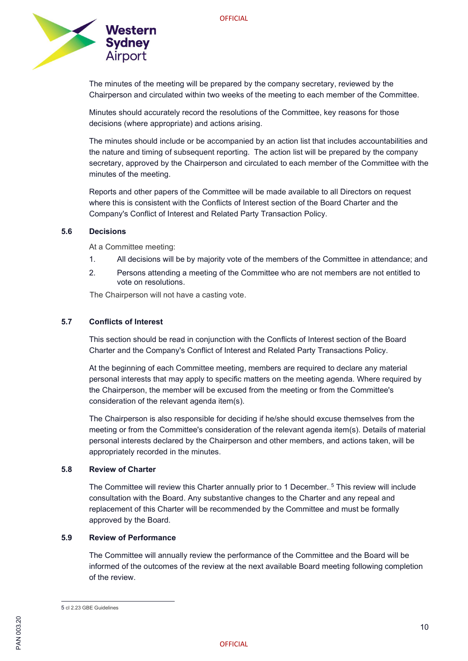

The minutes of the meeting will be prepared by the company secretary, reviewed by the Chairperson and circulated within two weeks of the meeting to each member of the Committee.

Minutes should accurately record the resolutions of the Committee, key reasons for those decisions (where appropriate) and actions arising.

The minutes should include or be accompanied by an action list that includes accountabilities and the nature and timing of subsequent reporting. The action list will be prepared by the company secretary, approved by the Chairperson and circulated to each member of the Committee with the minutes of the meeting.

Reports and other papers of the Committee will be made available to all Directors on request where this is consistent with the Conflicts of Interest section of the Board Charter and the Company's Conflict of Interest and Related Party Transaction Policy.

#### 5.6 Decisions

At a Committee meeting:

- 1. All decisions will be by majority vote of the members of the Committee in attendance; and
- 2. Persons attending a meeting of the Committee who are not members are not entitled to vote on resolutions.

The Chairperson will not have a casting vote.

#### 5.7 Conflicts of Interest

This section should be read in conjunction with the Conflicts of Interest section of the Board Charter and the Company's Conflict of Interest and Related Party Transactions Policy.

At the beginning of each Committee meeting, members are required to declare any material personal interests that may apply to specific matters on the meeting agenda. Where required by the Chairperson, the member will be excused from the meeting or from the Committee's consideration of the relevant agenda item(s).

The Chairperson is also responsible for deciding if he/she should excuse themselves from the meeting or from the Committee's consideration of the relevant agenda item(s). Details of material personal interests declared by the Chairperson and other members, and actions taken, will be appropriately recorded in the minutes.

#### 5.8 Review of Charter

The Committee will review this Charter annually prior to 1 December.<sub>-</sub>5 This review will include consultation with the Board. Any substantive changes to the Charter and any repeal and replacement of this Charter will be recommended by the Committee and must be formally approved by the Board.

#### 5.9 Review of Performance

The Committee will annually review the performance of the Committee and the Board will be informed of the outcomes of the review at the next available Board meeting following completion of the review.

<sup>5</sup> cl 2.23 GBE Guidelines